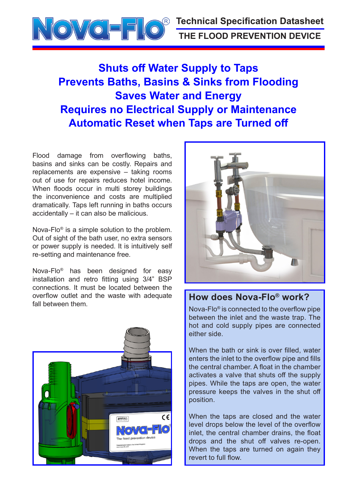

# **Shuts off Water Supply to Taps Prevents Baths, Basins & Sinks from Flooding Saves Water and Energy Requires no Electrical Supply or Maintenance Automatic Reset when Taps are Turned off**

Flood damage from overflowing baths, basins and sinks can be costly. Repairs and replacements are expensive – taking rooms out of use for repairs reduces hotel income. When floods occur in multi storey buildings the inconvenience and costs are multiplied dramatically. Taps left running in baths occurs accidentally – it can also be malicious.

Nova-Flo® is a simple solution to the problem. Out of sight of the bath user, no extra sensors or power supply is needed. It is intuitively self re-setting and maintenance free.

Nova-Flo® has been designed for easy installation and retro fitting using 3/4" BSP connections. It must be located between the overflow outlet and the waste with adequate fall between them.





#### **How does Nova-Flo® work?**

Nova-Flo® is connected to the overflow pipe between the inlet and the waste trap. The hot and cold supply pipes are connected either side.

When the bath or sink is over filled, water enters the inlet to the overflow pipe and fills the central chamber. A float in the chamber activates a valve that shuts off the supply pipes. While the taps are open, the water pressure keeps the valves in the shut off position.

When the taps are closed and the water level drops below the level of the overflow inlet, the central chamber drains, the float drops and the shut off valves re-open. When the taps are turned on again they revert to full flow.